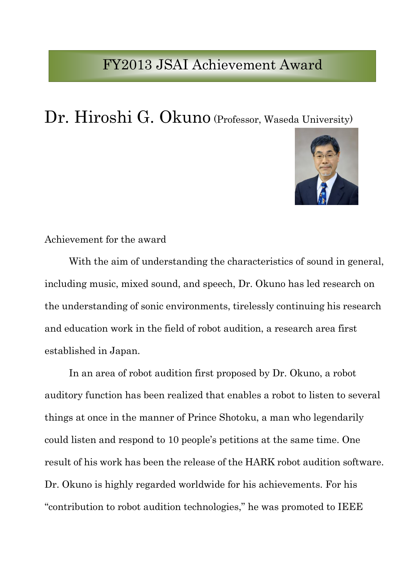## FY2013 JSAI Achievement Award

## Dr. Hiroshi G. Okuno (Professor, Waseda University)



## Achievement for the award

With the aim of understanding the characteristics of sound in general, including music, mixed sound, and speech, Dr. Okuno has led research on the understanding of sonic environments, tirelessly continuing his research and education work in the field of robot audition, a research area first established in Japan.

In an area of robot audition first proposed by Dr. Okuno, a robot auditory function has been realized that enables a robot to listen to several things at once in the manner of Prince Shotoku, a man who legendarily could listen and respond to 10 people's petitions at the same time. One result of his work has been the release of the HARK robot audition software. Dr. Okuno is highly regarded worldwide for his achievements. For his "contribution to robot audition technologies," he was promoted to IEEE